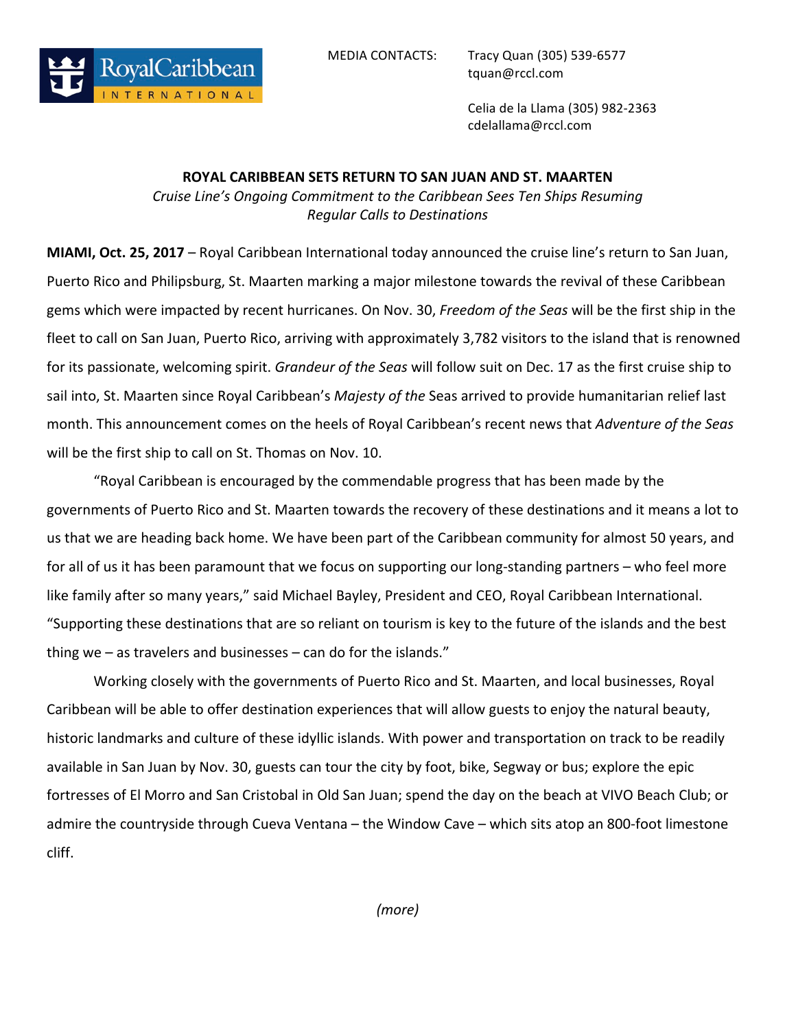

MEDIA CONTACTS: Tracy Quan (305) 539-6577 tquan@rccl.com

> Celia de la Llama (305) 982-2363 cdelallama@rccl.com

## **ROYAL CARIBBEAN SETS RETURN TO SAN JUAN AND ST. MAARTEN**

*Cruise Line's Ongoing Commitment to the Caribbean Sees Ten Ships Resuming Regular Calls to Destinations*

**MIAMI, Oct. 25, 2017** – Royal Caribbean International today announced the cruise line's return to San Juan, Puerto Rico and Philipsburg, St. Maarten marking a major milestone towards the revival of these Caribbean gems which were impacted by recent hurricanes. On Nov. 30, Freedom of the Seas will be the first ship in the fleet to call on San Juan, Puerto Rico, arriving with approximately 3,782 visitors to the island that is renowned for its passionate, welcoming spirit. *Grandeur of the Seas* will follow suit on Dec. 17 as the first cruise ship to sail into, St. Maarten since Royal Caribbean's *Majesty of the* Seas arrived to provide humanitarian relief last month. This announcement comes on the heels of Royal Caribbean's recent news that Adventure of the Seas will be the first ship to call on St. Thomas on Nov. 10.

"Royal Caribbean is encouraged by the commendable progress that has been made by the governments of Puerto Rico and St. Maarten towards the recovery of these destinations and it means a lot to us that we are heading back home. We have been part of the Caribbean community for almost 50 years, and for all of us it has been paramount that we focus on supporting our long-standing partners – who feel more like family after so many years," said Michael Bayley, President and CEO, Royal Caribbean International. "Supporting these destinations that are so reliant on tourism is key to the future of the islands and the best thing we  $-$  as travelers and businesses  $-$  can do for the islands."

Working closely with the governments of Puerto Rico and St. Maarten, and local businesses, Royal Caribbean will be able to offer destination experiences that will allow guests to enjoy the natural beauty, historic landmarks and culture of these idyllic islands. With power and transportation on track to be readily available in San Juan by Nov. 30, guests can tour the city by foot, bike, Segway or bus; explore the epic fortresses of El Morro and San Cristobal in Old San Juan; spend the day on the beach at VIVO Beach Club; or admire the countryside through Cueva Ventana – the Window Cave – which sits atop an 800-foot limestone cliff. 

*(more)*